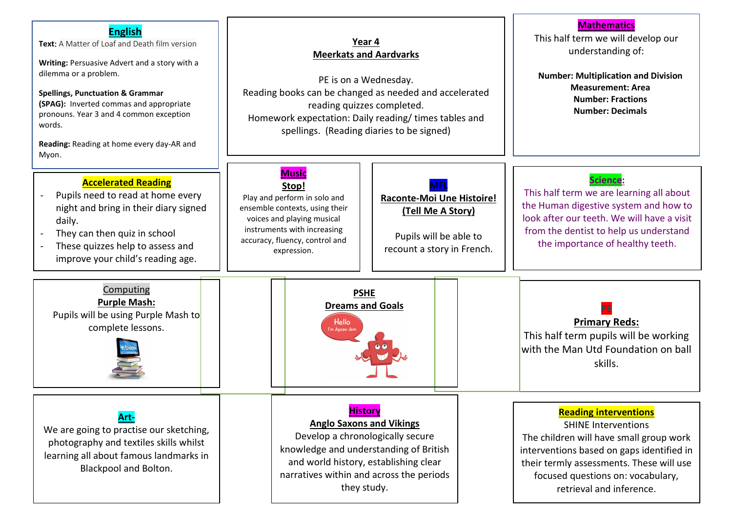### **Mathematics English** This half term we will develop our **Year 4 Text:** A Matter of Loaf and Death film version understanding of: **Meerkats and Aardvarks Writing:** Persuasive Advert and a story with a dilemma or a problem. **Number: Multiplication and Division** PE is on a Wednesday. **Measurement: Area** Reading books can be changed as needed and accelerated **Spellings, Punctuation & Grammar Number: Fractions (SPAG):** Inverted commas and appropriate reading quizzes completed. **Number: Decimals** pronouns. Year 3 and 4 common exception Homework expectation: Daily reading/ times tables and words. spellings. (Reading diaries to be signed) **Reading:** Reading at home every day-AR and Myon. **Music Accelerated Reading Science: MFL Stop!** This half term we are learning all about Pupils need to read at home every Play and perform in solo and **Raconte-Moi Une Histoire!** the Human digestive system and how to night and bring in their diary signed ensemble contexts, using their **(Tell Me A Story)** look after our teeth. We will have a visit voices and playing musical daily. instruments with increasing from the dentist to help us understand They can then quiz in school Pupils will be able to accuracy, fluency, control and the importance of healthy teeth. These quizzes help to assess and recount a story in French.expression. improve your child's reading age. Computing **PSHE Purple Mash: Dreams and Goals PE** Pupils will be using Purple Mash to **Primary Reds: Hello** complete lessons. 'm Jigsaw Je This half term pupils will be working with the Man Utd Foundation on ball skills. **History Reading interventions Art-Anglo Saxons and Vikings** SHINE Interventions We are going to practise our sketching, Develop a chronologically secure The children will have small group work photography and textiles skills whilst knowledge and understanding of British interventions based on gaps identified in learning all about famous landmarks in and world history, establishing clear their termly assessments. These will use Blackpool and Bolton. narratives within and across the periods focused questions on: vocabulary, they study. retrieval and inference.